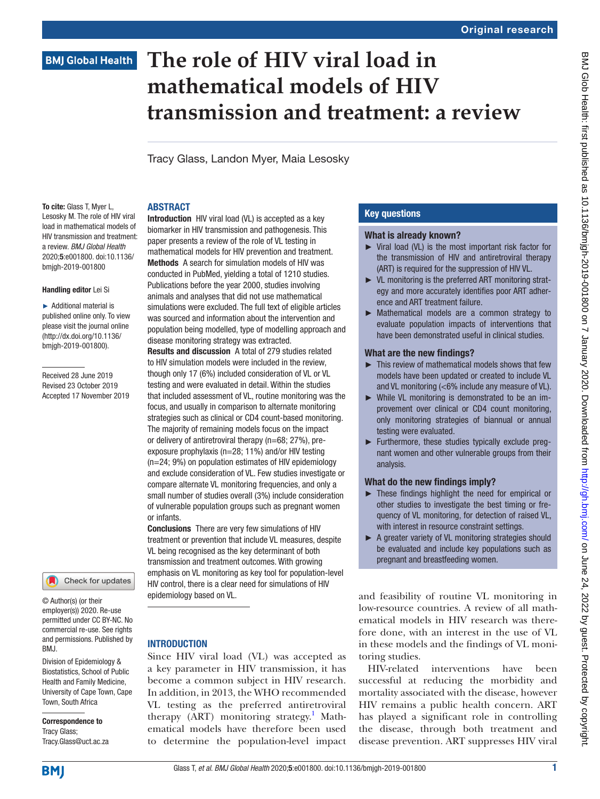# **BMJ Global Health**

# **The role of HIV viral load in mathematical models of HIV transmission and treatment: a review**

Tracy Glass, Landon Myer, Maia Lesosky

#### **ABSTRACT**

To cite: Glass T. Mver L. Lesosky M. The role of HIV viral load in mathematical models of HIV transmission and treatment: a review. *BMJ Global Health* 2020;5:e001800. doi:10.1136/ bmjgh-2019-001800

#### Handling editor Lei Si

► Additional material is published online only. To view please visit the journal online (http://dx.doi.org/10.1136/ bmjgh-2019-001800).

Received 28 June 2019 Revised 23 October 2019 Accepted 17 November 2019

## Check for updates

© Author(s) (or their employer(s)) 2020. Re-use permitted under CC BY-NC. No commercial re-use. See rights and permissions. Published by BMJ.

Division of Epidemiology & Biostatistics, School of Public Health and Family Medicine, University of Cape Town, Cape Town, South Africa

Correspondence to Tracy Glass; Tracy.Glass@uct.ac.za

Introduction HIV viral load (VL) is accepted as a key biomarker in HIV transmission and pathogenesis. This paper presents a review of the role of VL testing in mathematical models for HIV prevention and treatment. Methods A search for simulation models of HIV was conducted in PubMed, yielding a total of 1210 studies. Publications before the year 2000, studies involving animals and analyses that did not use mathematical simulations were excluded. The full text of eligible articles was sourced and information about the intervention and population being modelled, type of modelling approach and disease monitoring strategy was extracted.

Results and discussion A total of 279 studies related to HIV simulation models were included in the review, though only 17 (6%) included consideration of VL or VL testing and were evaluated in detail. Within the studies that included assessment of VL, routine monitoring was the focus, and usually in comparison to alternate monitoring strategies such as clinical or CD4 count-based monitoring. The majority of remaining models focus on the impact or delivery of antiretroviral therapy (n=68; 27%), preexposure prophylaxis (n=28; 11%) and/or HIV testing (n=24; 9%) on population estimates of HIV epidemiology and exclude consideration of VL. Few studies investigate or compare alternate VL monitoring frequencies, and only a small number of studies overall (3%) include consideration of vulnerable population groups such as pregnant women or infants.

Conclusions There are very few simulations of HIV treatment or prevention that include VL measures, despite VL being recognised as the key determinant of both transmission and treatment outcomes. With growing emphasis on VL monitoring as key tool for population-level HIV control, there is a clear need for simulations of HIV epidemiology based on VL.

# **INTRODUCTION**

Since HIV viral load (VL) was accepted as a key parameter in HIV transmission, it has become a common subject in HIV research. In addition, in 2013, the WHO recommended VL testing as the preferred antiretroviral therapy (ART) monitoring strategy.<sup>[1](#page-6-0)</sup> Mathematical models have therefore been used to determine the population-level impact

# Key questions

#### What is already known?

- ► Viral load (VL) is the most important risk factor for the transmission of HIV and antiretroviral therapy (ART) is required for the suppression of HIV VL.
- ► VL monitoring is the preferred ART monitoring strategy and more accurately identifies poor ART adherence and ART treatment failure.
- ► Mathematical models are a common strategy to evaluate population impacts of interventions that have been demonstrated useful in clinical studies.

#### What are the new findings?

- ► This review of mathematical models shows that few models have been updated or created to include VL and VL monitoring (<6% include any measure of VL).
- ► While VL monitoring is demonstrated to be an improvement over clinical or CD4 count monitoring, only monitoring strategies of biannual or annual testing were evaluated.
- ► Furthermore, these studies typically exclude pregnant women and other vulnerable groups from their analysis.

# What do the new findings imply?

- ► These findings highlight the need for empirical or other studies to investigate the best timing or frequency of VL monitoring, for detection of raised VL, with interest in resource constraint settings.
- ► A greater variety of VL monitoring strategies should be evaluated and include key populations such as pregnant and breastfeeding women.

and feasibility of routine VL monitoring in low-resource countries. A review of all mathematical models in HIV research was therefore done, with an interest in the use of VL in these models and the findings of VL monitoring studies.

HIV-related interventions have been successful at reducing the morbidity and mortality associated with the disease, however HIV remains a public health concern. ART has played a significant role in controlling the disease, through both treatment and disease prevention. ART suppresses HIV viral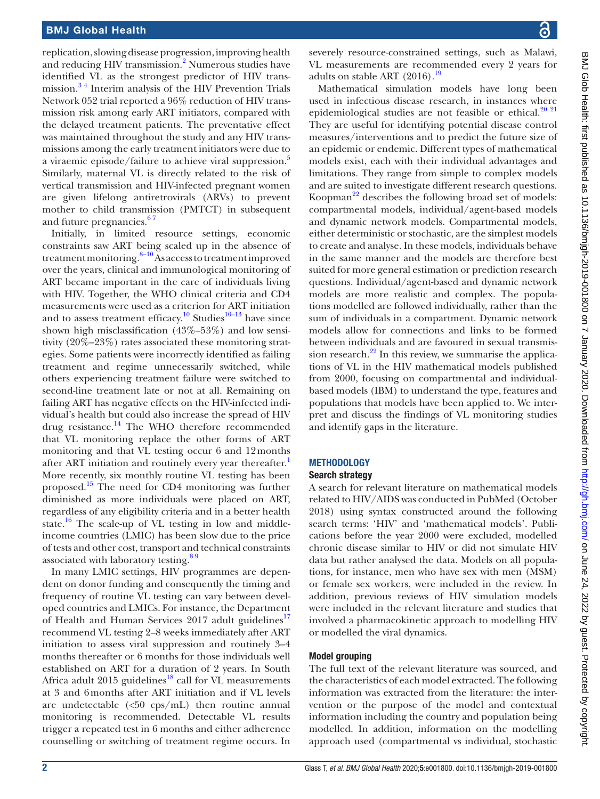replication, slowing disease progression, improving health and reducing HIV transmission.<sup>2</sup> Numerous studies have identified VL as the strongest predictor of HIV transmission.[3 4](#page-6-2) Interim analysis of the HIV Prevention Trials Network 052 trial reported a 96% reduction of HIV transmission risk among early ART initiators, compared with the delayed treatment patients. The preventative effect was maintained throughout the study and any HIV transmissions among the early treatment initiators were due to a viraemic episode/failure to achieve viral suppression.<sup>[5](#page-6-3)</sup> Similarly, maternal VL is directly related to the risk of vertical transmission and HIV-infected pregnant women are given lifelong antiretrovirals (ARVs) to prevent mother to child transmission (PMTCT) in subsequent and future pregnancies.<sup>67</sup>

Initially, in limited resource settings, economic constraints saw ART being scaled up in the absence of treatment monitoring. $8-10$  As access to treatment improved over the years, clinical and immunological monitoring of ART became important in the care of individuals living with HIV. Together, the WHO clinical criteria and CD4 measurements were used as a criterion for ART initiation and to assess treatment efficacy.<sup>[10](#page-7-2)</sup> Studies<sup>[10–13](#page-7-2)</sup> have since shown high misclassification (43%–53%) and low sensitivity (20%–23%) rates associated these monitoring strategies. Some patients were incorrectly identified as failing treatment and regime unnecessarily switched, while others experiencing treatment failure were switched to second-line treatment late or not at all. Remaining on failing ART has negative effects on the HIV-infected individual's health but could also increase the spread of HIV drug resistance. $^{14}$  The WHO therefore recommended that VL monitoring replace the other forms of ART monitoring and that VL testing occur 6 and 12months after ART initiation and routinely every year thereafter.<sup>[1](#page-6-0)</sup> More recently, six monthly routine VL testing has been proposed.[15](#page-7-4) The need for CD4 monitoring was further diminished as more individuals were placed on ART, regardless of any eligibility criteria and in a better health state. $16$  The scale-up of VL testing in low and middleincome countries (LMIC) has been slow due to the price of tests and other cost, transport and technical constraints associated with laboratory testing.<sup>89</sup>

In many LMIC settings, HIV programmes are dependent on donor funding and consequently the timing and frequency of routine VL testing can vary between developed countries and LMICs. For instance, the Department of Health and Human Services 2017 adult guidelines<sup>17</sup> recommend VL testing 2–8 weeks immediately after ART initiation to assess viral suppression and routinely 3–4 months thereafter or 6 months for those individuals well established on ART for a duration of 2 years. In South Africa adult 2015 guidelines<sup>18</sup> call for VL measurements at 3 and 6months after ART initiation and if VL levels are undetectable  $(<50 \text{cps/mL})$  then routine annual monitoring is recommended. Detectable VL results trigger a repeated test in 6 months and either adherence counselling or switching of treatment regime occurs. In

severely resource-constrained settings, such as Malawi, VL measurements are recommended every 2 years for adults on stable ART  $(2016).$ <sup>19</sup>

Mathematical simulation models have long been used in infectious disease research, in instances where epidemiological studies are not feasible or ethical.<sup>20</sup><sup>21</sup> They are useful for identifying potential disease control measures/interventions and to predict the future size of an epidemic or endemic. Different types of mathematical models exist, each with their individual advantages and limitations. They range from simple to complex models and are suited to investigate different research questions. Koopman<sup>22</sup> describes the following broad set of models: compartmental models, individual/agent-based models and dynamic network models. Compartmental models, either deterministic or stochastic, are the simplest models to create and analyse. In these models, individuals behave in the same manner and the models are therefore best suited for more general estimation or prediction research questions. Individual/agent-based and dynamic network models are more realistic and complex. The populations modelled are followed individually, rather than the sum of individuals in a compartment. Dynamic network models allow for connections and links to be formed between individuals and are favoured in sexual transmission research. $^{22}$  In this review, we summarise the applications of VL in the HIV mathematical models published from 2000, focusing on compartmental and individualbased models (IBM) to understand the type, features and populations that models have been applied to. We interpret and discuss the findings of VL monitoring studies and identify gaps in the literature.

# **METHODOLOGY**

# Search strategy

A search for relevant literature on mathematical models related to HIV/AIDS was conducted in PubMed (October 2018) using syntax constructed around the following search terms: 'HIV' and 'mathematical models'. Publications before the year 2000 were excluded, modelled chronic disease similar to HIV or did not simulate HIV data but rather analysed the data. Models on all populations, for instance, men who have sex with men (MSM) or female sex workers, were included in the review. In addition, previous reviews of HIV simulation models were included in the relevant literature and studies that involved a pharmacokinetic approach to modelling HIV or modelled the viral dynamics.

#### Model grouping

The full text of the relevant literature was sourced, and the characteristics of each model extracted. The following information was extracted from the literature: the intervention or the purpose of the model and contextual information including the country and population being modelled. In addition, information on the modelling approach used (compartmental vs individual, stochastic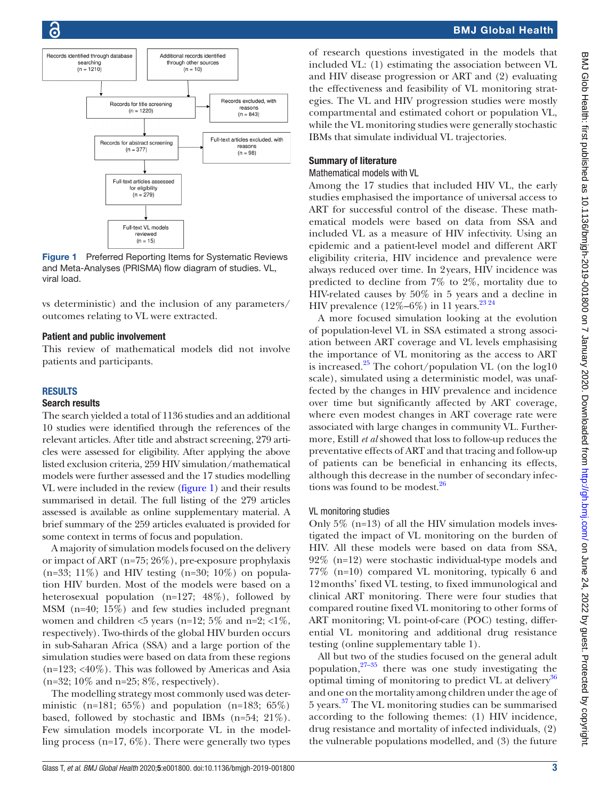

<span id="page-2-0"></span>Figure 1 Preferred Reporting Items for Systematic Reviews and Meta-Analyses (PRISMA) flow diagram of studies. VL, viral load.

vs deterministic) and the inclusion of any parameters/ outcomes relating to VL were extracted.

#### Patient and public involvement

This review of mathematical models did not involve patients and participants.

#### **RESULTS**

#### Search results

The search yielded a total of 1136 studies and an additional 10 studies were identified through the references of the relevant articles. After title and abstract screening, 279 articles were assessed for eligibility. After applying the above listed exclusion criteria, 259 HIV simulation/mathematical models were further assessed and the 17 studies modelling VL were included in the review [\(figure](#page-2-0) 1) and their results summarised in detail. The full listing of the 279 articles assessed is available as [online supplementary material](https://dx.doi.org/10.1136/bmjgh-2019-001800). A brief summary of the 259 articles evaluated is provided for some context in terms of focus and population.

A majority of simulation models focused on the delivery or impact of ART (n=75; 26%), pre-exposure prophylaxis  $(n=33; 11\%)$  and HIV testing  $(n=30; 10\%)$  on population HIV burden. Most of the models were based on a heterosexual population (n=127; 48%), followed by MSM (n=40; 15%) and few studies included pregnant women and children  $\leq 5$  years (n=12; 5% and n=2;  $\leq 1\%$ , respectively). Two-thirds of the global HIV burden occurs in sub-Saharan Africa (SSA) and a large portion of the simulation studies were based on data from these regions  $(n=123; < 40\%)$ . This was followed by Americas and Asia  $(n=32; 10\% \text{ and } n=25; 8\%, \text{ respectively}).$ 

The modelling strategy most commonly used was deterministic (n=181;  $65\%$ ) and population (n=183;  $65\%$ ) based, followed by stochastic and IBMs (n=54; 21%). Few simulation models incorporate VL in the modelling process ( $n=17, 6\%$ ). There were generally two types

of research questions investigated in the models that included VL: (1) estimating the association between VL and HIV disease progression or ART and (2) evaluating the effectiveness and feasibility of VL monitoring strategies. The VL and HIV progression studies were mostly compartmental and estimated cohort or population VL, while the VL monitoring studies were generally stochastic IBMs that simulate individual VL trajectories.

## Summary of literature

#### Mathematical models with VL

Among the 17 studies that included HIV VL, the early studies emphasised the importance of universal access to ART for successful control of the disease. These mathematical models were based on data from SSA and included VL as a measure of HIV infectivity. Using an epidemic and a patient-level model and different ART eligibility criteria, HIV incidence and prevalence were always reduced over time. In 2years, HIV incidence was predicted to decline from 7% to 2%, mortality due to HIV-related causes by 50% in 5 years and a decline in HIV prevalence  $(12\% - 6\%)$  in 11 years.<sup>23 24</sup>

A more focused simulation looking at the evolution of population-level VL in SSA estimated a strong association between ART coverage and VL levels emphasising the importance of VL monitoring as the access to ART is increased.<sup>[25](#page-7-12)</sup> The cohort/population VL (on the  $log10$ scale), simulated using a deterministic model, was unaffected by the changes in HIV prevalence and incidence over time but significantly affected by ART coverage, where even modest changes in ART coverage rate were associated with large changes in community VL. Furthermore, Estill *et al* showed that loss to follow-up reduces the preventative effects of ART and that tracing and follow-up of patients can be beneficial in enhancing its effects, although this decrease in the number of secondary infec-tions was found to be modest.<sup>[26](#page-7-13)</sup>

#### VL monitoring studies

Only  $5\%$  (n=13) of all the HIV simulation models investigated the impact of VL monitoring on the burden of HIV. All these models were based on data from SSA, 92% (n=12) were stochastic individual-type models and 77% (n=10) compared VL monitoring, typically 6 and 12months' fixed VL testing, to fixed immunological and clinical ART monitoring. There were four studies that compared routine fixed VL monitoring to other forms of ART monitoring; VL point-of-care (POC) testing, differential VL monitoring and additional drug resistance testing ([online supplementary table 1](https://dx.doi.org/10.1136/bmjgh-2019-001800)).

All but two of the studies focused on the general adult population, $27-35$  there was one study investigating the optimal timing of monitoring to predict VL at delivery<sup>[36](#page-7-15)</sup> and one on the mortality among children under the age of 5 years.[37](#page-7-16) The VL monitoring studies can be summarised according to the following themes: (1) HIV incidence, drug resistance and mortality of infected individuals, (2) the vulnerable populations modelled, and (3) the future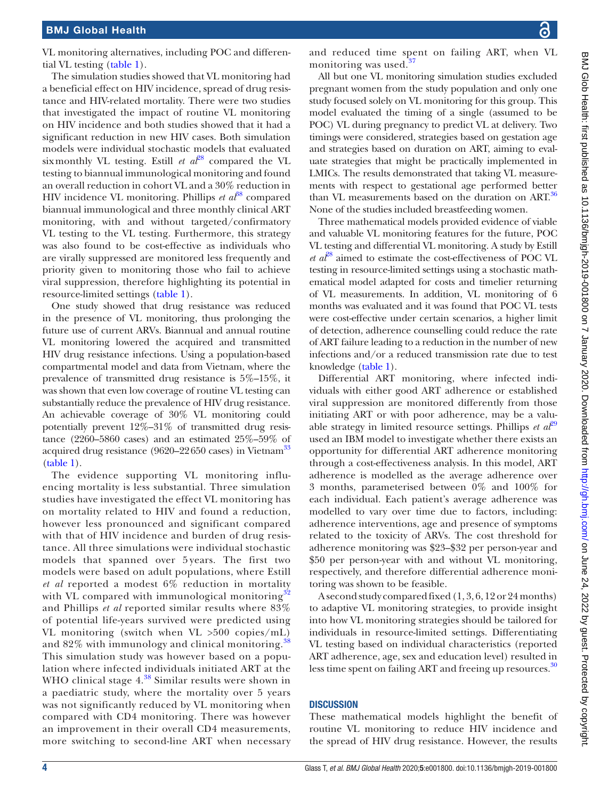VL monitoring alternatives, including POC and differential VL testing ([table](#page-4-0) 1).

The simulation studies showed that VL monitoring had a beneficial effect on HIV incidence, spread of drug resistance and HIV-related mortality. There were two studies that investigated the impact of routine VL monitoring on HIV incidence and both studies showed that it had a significant reduction in new HIV cases. Both simulation models were individual stochastic models that evaluated six monthly VL testing. Estill *et al*<sup>28</sup> compared the VL testing to biannual immunological monitoring and found an overall reduction in cohort VL and a 30% reduction in HIV incidence VL monitoring. Phillips *et al*<sup>88</sup> compared biannual immunological and three monthly clinical ART monitoring, with and without targeted/confirmatory VL testing to the VL testing. Furthermore, this strategy was also found to be cost-effective as individuals who are virally suppressed are monitored less frequently and priority given to monitoring those who fail to achieve viral suppression, therefore highlighting its potential in resource-limited settings [\(table](#page-4-0) 1).

One study showed that drug resistance was reduced in the presence of VL monitoring, thus prolonging the future use of current ARVs. Biannual and annual routine VL monitoring lowered the acquired and transmitted HIV drug resistance infections. Using a population-based compartmental model and data from Vietnam, where the prevalence of transmitted drug resistance is 5%–15%, it was shown that even low coverage of routine VL testing can substantially reduce the prevalence of HIV drug resistance. An achievable coverage of 30% VL monitoring could potentially prevent 12%–31% of transmitted drug resistance (2260–5860 cases) and an estimated 25%–59% of acquired drug resistance (9620–22650 cases) in Vietnam<sup>[33](#page-7-19)</sup> [\(table](#page-4-0) 1).

The evidence supporting VL monitoring influencing mortality is less substantial. Three simulation studies have investigated the effect VL monitoring has on mortality related to HIV and found a reduction, however less pronounced and significant compared with that of HIV incidence and burden of drug resistance. All three simulations were individual stochastic models that spanned over 5 years. The first two models were based on adult populations, where Estill *et al* reported a modest 6% reduction in mortality with VL compared with immunological monitoring $\epsilon$ and Phillips *et al* reported similar results where 83% of potential life-years survived were predicted using VL monitoring (switch when VL >500 copies/mL) and  $82\%$  with immunology and clinical monitoring.<sup>3</sup> This simulation study was however based on a population where infected individuals initiated ART at the WHO clinical stage  $4.^{38}$  $4.^{38}$  $4.^{38}$  Similar results were shown in a paediatric study, where the mortality over 5 years was not significantly reduced by VL monitoring when compared with CD4 monitoring. There was however an improvement in their overall CD4 measurements, more switching to second-line ART when necessary

and reduced time spent on failing ART, when VL monitoring was used.<sup>3</sup>

All but one VL monitoring simulation studies excluded pregnant women from the study population and only one study focused solely on VL monitoring for this group. This model evaluated the timing of a single (assumed to be POC) VL during pregnancy to predict VL at delivery. Two timings were considered, strategies based on gestation age and strategies based on duration on ART, aiming to evaluate strategies that might be practically implemented in LMICs. The results demonstrated that taking VL measurements with respect to gestational age performed better than VL measurements based on the duration on ART.<sup>[36](#page-7-15)</sup> None of the studies included breastfeeding women.

Three mathematical models provided evidence of viable and valuable VL monitoring features for the future, POC VL testing and differential VL monitoring. A study by Estill *et al*[28](#page-7-17) aimed to estimate the cost-effectiveness of POC VL testing in resource-limited settings using a stochastic mathematical model adapted for costs and timelier returning of VL measurements. In addition, VL monitoring of 6 months was evaluated and it was found that POC VL tests were cost-effective under certain scenarios, a higher limit of detection, adherence counselling could reduce the rate of ART failure leading to a reduction in the number of new infections and/or a reduced transmission rate due to test knowledge [\(table](#page-4-0) 1).

Differential ART monitoring, where infected individuals with either good ART adherence or established viral suppression are monitored differently from those initiating ART or with poor adherence, may be a valuable strategy in limited resource settings. Phillips  $et \t a t^{29}$  $et \t a t^{29}$  $et \t a t^{29}$ used an IBM model to investigate whether there exists an opportunity for differential ART adherence monitoring through a cost-effectiveness analysis. In this model, ART adherence is modelled as the average adherence over 3 months, parameterised between 0% and 100% for each individual. Each patient's average adherence was modelled to vary over time due to factors, including: adherence interventions, age and presence of symptoms related to the toxicity of ARVs. The cost threshold for adherence monitoring was \$23–\$32 per person-year and \$50 per person-year with and without VL monitoring, respectively, and therefore differential adherence monitoring was shown to be feasible.

A second study compared fixed (1, 3, 6, 12 or 24 months) to adaptive VL monitoring strategies, to provide insight into how VL monitoring strategies should be tailored for individuals in resource-limited settings. Differentiating VL testing based on individual characteristics (reported ART adherence, age, sex and education level) resulted in less time spent on failing ART and freeing up resources.<sup>[30](#page-7-22)</sup>

#### **DISCUSSION**

These mathematical models highlight the benefit of routine VL monitoring to reduce HIV incidence and the spread of HIV drug resistance. However, the results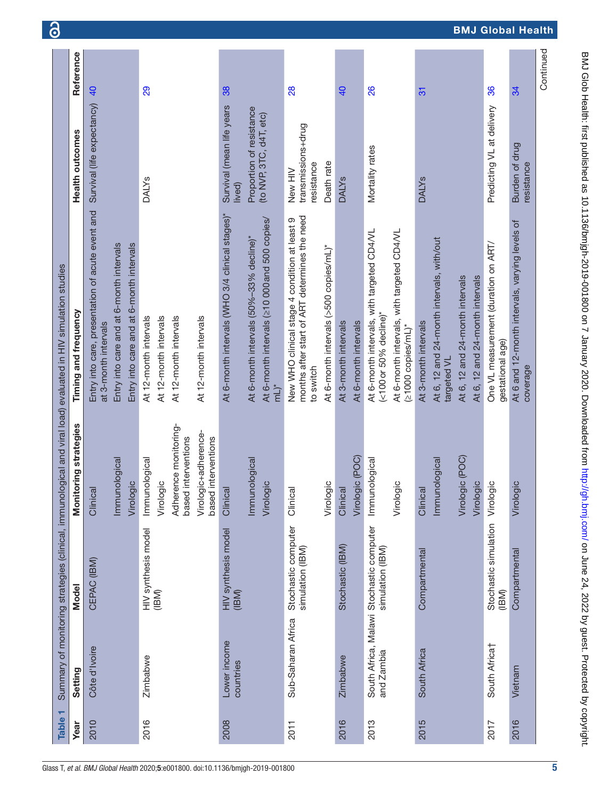| <b>Table</b> |                           |                                                              |                                                                                                                           | Summary of monitoring strategies (clinical, immunological and viral load) evaluated in HIV simulation studies                                                    |                                                                                            |                |
|--------------|---------------------------|--------------------------------------------------------------|---------------------------------------------------------------------------------------------------------------------------|------------------------------------------------------------------------------------------------------------------------------------------------------------------|--------------------------------------------------------------------------------------------|----------------|
| Year         | Setting                   | <b>Model</b>                                                 | Monitoring strategies                                                                                                     | Timing and frequency                                                                                                                                             | Health outcomes                                                                            | Reference      |
| 2010         | Côte d'Ivoire             | CEPAC (IBM)                                                  | Immunological<br>Virologic<br>Clinical                                                                                    | Entry into care, presentation of acute event and<br>Entry into care and at 6-month intervals<br>Entry into care and at 6-month intervals<br>at 3-month intervals | Survival (life expectancy)                                                                 | $\overline{a}$ |
| 2016         | Zimbabwe                  | HIV synthesis model<br>(IBM)                                 | Adherence monitoring-<br>Virologic+adherence-<br>based interventions<br>based interventions<br>Immunological<br>Virologic | At 12-month intervals<br>At 12-month intervals<br>At 12-month intervals<br>At 12-month intervals                                                                 | <b>DALYS</b>                                                                               | 29             |
| 2008         | Lower income<br>countries | HIV synthesis model<br>(IBM)                                 | Immunological<br>Virologic<br>Clinical                                                                                    | At 6-month intervals (WHO 3/4 clinical stages)*<br>At 6-month intervals (≥10 000 and 500 copies/<br>At 6-month intervals (50%-33% decline)*<br>$mL^*$            | Survival (mean life years<br>Proportion of resistance<br>(to NVP, 3TC, d4T, etc)<br>lived) | 38             |
| 2011         | Sub-Saharan Africa        | Stochastic computer<br>simulation (IBM)                      | Virologic<br>Clinical                                                                                                     | months after start of ART determines the need<br>New WHO clinical stage 4 condition at least 9<br>At 6-month intervals (>500 copies/mL)*<br>to switch            | transmissions+drug<br>Death rate<br>resistance<br>New HIV                                  | 28             |
| 2016         | Zimbabwe                  | Stochastic (IBM)                                             | Virologic (POC)<br>Clinical                                                                                               | At 6-month intervals<br>At 3-month intervals                                                                                                                     | <b>DALYS</b>                                                                               | $\overline{q}$ |
| 2013         | and Zambia                | South Africa, Malawi Stochastic computer<br>simulation (IBM) | Immunological<br>Virologic                                                                                                | At 6-month intervals, with targeted CD4/VL<br>At 6-month intervals, with targeted CD4/VL<br>$(<$ 100 or 50% decline)*<br>$(21000$ copies/mL)*                    | Mortality rates                                                                            | 88             |
| 2015         | South Africa              | Compartmental                                                | Virologic (POC)<br>Immunological<br>Virologic<br>Clinical                                                                 | At 6, 12 and 24-month intervals, with/out<br>At 6, 12 and 24-month intervals<br>At 6, 12 and 24-month intervals<br>At 3-month intervals<br>targeted VL           | <b>DALYS</b>                                                                               | $\overline{5}$ |
| 2017<br>2016 | South Africat<br>Vietnam  | Stochastic simulation<br>Compartmental<br>(IBM)              | Virologic<br>Virologic                                                                                                    | At 6 and 12-month intervals, varying levels of<br>One VL measurement (duration on ART/<br>gestational age)<br>coverage                                           | Predicting VL at delivery<br>Burden of drug<br>resistance                                  | 86<br>34       |
|              |                           |                                                              |                                                                                                                           |                                                                                                                                                                  |                                                                                            | Continued      |

6

# BMJ Global Health

<span id="page-4-0"></span>

BMJ Glob Health: first published as 10.1136/bmjgh-2019-001800 on 7 January 2020. Downloaded from <http://gh.bmj.com/> on June 24, 2022 by guest. Protected by copyright.

BMJ Glob Health: first published as 10.1136/bmigh-2019-001800 on 7 January 2020. Downloaded from http://gh.bmj.com/ on June 24, 2022 by guest. Protected by copyright.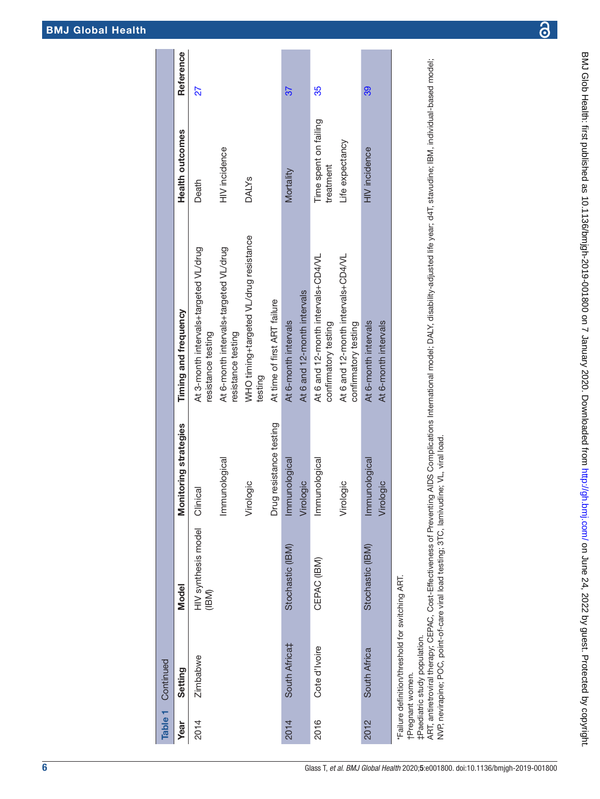| $\frac{1}{2}$                                                                                                |
|--------------------------------------------------------------------------------------------------------------|
|                                                                                                              |
| <b>ISSUE CONTRACT</b>                                                                                        |
| itiillari haqqına karaktırı olunu olunu olunu olunu olunu olunu olunu olunu olunu olunu olunu olunu olunu ol |
|                                                                                                              |
|                                                                                                              |
|                                                                                                              |
|                                                                                                              |
|                                                                                                              |
| フリング コンコート                                                                                                   |
|                                                                                                              |
| $\frac{1}{2}$                                                                                                |
|                                                                                                              |
| í                                                                                                            |
|                                                                                                              |
|                                                                                                              |
|                                                                                                              |
|                                                                                                              |
|                                                                                                              |
| $\overline{a}$                                                                                               |
|                                                                                                              |
|                                                                                                              |
|                                                                                                              |
|                                                                                                              |
|                                                                                                              |
| ١                                                                                                            |
|                                                                                                              |
|                                                                                                              |
|                                                                                                              |
|                                                                                                              |
| inter://dh r.                                                                                                |
|                                                                                                              |
|                                                                                                              |
|                                                                                                              |
|                                                                                                              |
|                                                                                                              |
|                                                                                                              |
|                                                                                                              |
|                                                                                                              |
|                                                                                                              |
| I                                                                                                            |
|                                                                                                              |
|                                                                                                              |
|                                                                                                              |
|                                                                                                              |
|                                                                                                              |
|                                                                                                              |
|                                                                                                              |
|                                                                                                              |
|                                                                                                              |
|                                                                                                              |
|                                                                                                              |

| Table 1 | Continued                                                                                           |                              |                            |                                                             |                                    |           |
|---------|-----------------------------------------------------------------------------------------------------|------------------------------|----------------------------|-------------------------------------------------------------|------------------------------------|-----------|
| Year    | Setting                                                                                             | Model                        | Monitoring strategies      | Timing and frequency                                        | Health outcomes                    | Reference |
| 2014    | Zimbabwe                                                                                            | HIV synthesis model<br>(IBM) | Clinical                   | At 3-month intervals+targeted VL/drug<br>resistance testing | Death                              | 27        |
|         |                                                                                                     |                              | Immunological              | At 6-month intervals+targeted VL/drug<br>resistance testing | HIV incidence                      |           |
|         |                                                                                                     |                              | Virologic                  | WHO timing+targeted VL/drug resistance<br>testing           | <b>DALYS</b>                       |           |
|         |                                                                                                     |                              | Drug resistance testing    | At time of first ART failure                                |                                    |           |
| 2014    | South Africa‡                                                                                       | Stochastic (IBM)             | Immunological              | At 6-month intervals                                        | Mortality                          | 37        |
|         |                                                                                                     |                              | Virologic                  | At 6 and 12-month intervals                                 |                                    |           |
| 2016    | Cote d'Ivoire                                                                                       | CEPAC (IBM)                  | Immunological              | At 6 and 12-month intervals+CD4/VL<br>confirmatory testing  | Time spent on failing<br>treatment | 35        |
|         |                                                                                                     |                              | Virologic                  | At 6 and 12-month intervals+CD4/VL<br>confirmatory testing  | Life expectancy                    |           |
| 2012    | South Africa                                                                                        | Stochastic (IBM)             | Immunological<br>Virologic | At 6-month intervals<br>At 6-month intervals                | <b>HIV</b> incidence               | 39        |
|         | *Failure definition/threshold for switching ART.<br>tDoodistic etudy population<br>tPregnant women. |                              |                            |                                                             |                                    |           |

‡Paediatric study population.

‡Paediatric study population.<br>ART, antiretroviral therapy; CEPAC, Cost-Effectiveness of Preventing AIDS Complications International model; DALY, disability-adjusted life year; d4T, stavudine; IBM, individual-based model;<br>N ART, antiretroviral therapy; CEPAC, Cost-Effectiveness of Preventing AIDS Complications International model; DALY, disability-adjusted life year; d4T, stavudine; IBM, individual-based model; NVP, nevirapine; POC, point-of-care viral load testing; 3TC, lamivudine; VL, viral load.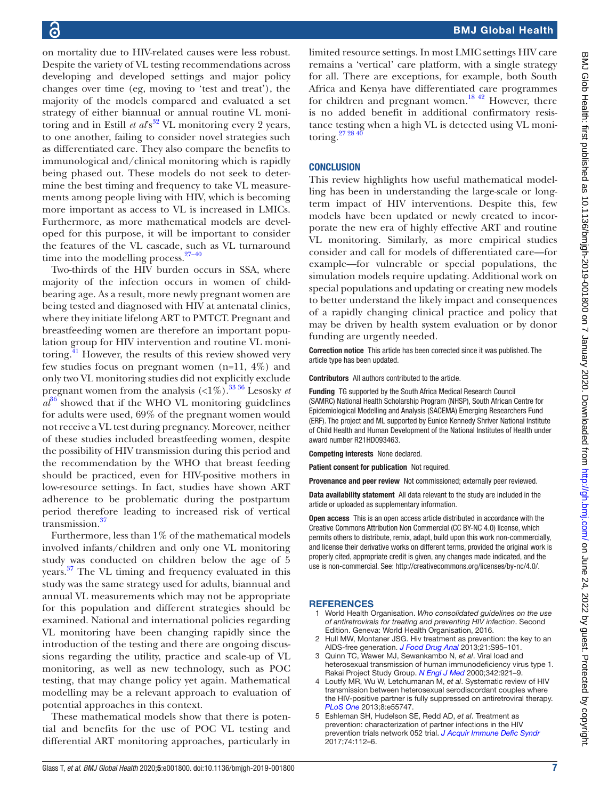on mortality due to HIV-related causes were less robust. Despite the variety of VL testing recommendations across developing and developed settings and major policy changes over time (eg, moving to 'test and treat'), the majority of the models compared and evaluated a set strategy of either biannual or annual routine VL monitoring and in Estill *et al*<sup>832</sup> VL monitoring every 2 years, to one another, failing to consider novel strategies such as differentiated care. They also compare the benefits to immunological and/clinical monitoring which is rapidly being phased out. These models do not seek to determine the best timing and frequency to take VL measurements among people living with HIV, which is becoming more important as access to VL is increased in LMICs. Furthermore, as more mathematical models are developed for this purpose, it will be important to consider the features of the VL cascade, such as VL turnaround time into the modelling process. $27-40$ 

Two-thirds of the HIV burden occurs in SSA, where majority of the infection occurs in women of childbearing age. As a result, more newly pregnant women are being tested and diagnosed with HIV at antenatal clinics, where they initiate lifelong ART to PMTCT. Pregnant and breastfeeding women are therefore an important population group for HIV intervention and routine VL monitoring.<sup>41</sup> However, the results of this review showed very few studies focus on pregnant women (n=11, 4%) and only two VL monitoring studies did not explicitly exclude pregnant women from the analysis  $\left( \langle 1\% \rangle \right)^{33\,36}$  Lesosky *et*  $a^{36}$  $a^{36}$  $a^{36}$  showed that if the WHO VL monitoring guidelines for adults were used, 69% of the pregnant women would not receive a VL test during pregnancy. Moreover, neither of these studies included breastfeeding women, despite the possibility of HIV transmission during this period and the recommendation by the WHO that breast feeding should be practiced, even for HIV-positive mothers in low-resource settings. In fact, studies have shown ART adherence to be problematic during the postpartum period therefore leading to increased risk of vertical transmission.<sup>[37](#page-7-16)</sup>

Furthermore, less than 1% of the mathematical models involved infants/children and only one VL monitoring study was conducted on children below the age of 5 years.<sup>[37](#page-7-16)</sup> The VL timing and frequency evaluated in this study was the same strategy used for adults, biannual and annual VL measurements which may not be appropriate for this population and different strategies should be examined. National and international policies regarding VL monitoring have been changing rapidly since the introduction of the testing and there are ongoing discussions regarding the utility, practice and scale-up of VL monitoring, as well as new technology, such as POC testing, that may change policy yet again. Mathematical modelling may be a relevant approach to evaluation of potential approaches in this context.

These mathematical models show that there is potential and benefits for the use of POC VL testing and differential ART monitoring approaches, particularly in

limited resource settings. In most LMIC settings HIV care remains a 'vertical' care platform, with a single strategy for all. There are exceptions, for example, both South Africa and Kenya have differentiated care programmes for children and pregnant women.<sup>[18 42](#page-7-7)</sup> However, there is no added benefit in additional confirmatory resistance testing when a high VL is detected using VL monitoring.<sup>27</sup>  $^{28\,40}$ 

# **CONCLUSION**

This review highlights how useful mathematical modelling has been in understanding the large-scale or longterm impact of HIV interventions. Despite this, few models have been updated or newly created to incorporate the new era of highly effective ART and routine VL monitoring. Similarly, as more empirical studies consider and call for models of differentiated care—for example—for vulnerable or special populations, the simulation models require updating. Additional work on special populations and updating or creating new models to better understand the likely impact and consequences of a rapidly changing clinical practice and policy that may be driven by health system evaluation or by donor funding are urgently needed.

Correction notice This article has been corrected since it was published. The article type has been updated.

Contributors All authors contributed to the article.

Funding TG supported by the South Africa Medical Research Council (SAMRC) National Health Scholarship Program (NHSP), South African Centre for Epidemiological Modelling and Analysis (SACEMA) Emerging Researchers Fund (ERF). The project and ML supported by Eunice Kennedy Shriver National Institute of Child Health and Human Development of the National Institutes of Health under award number R21HD093463.

Competing interests None declared.

Patient consent for publication Not required.

Provenance and peer review Not commissioned; externally peer reviewed.

Data availability statement All data relevant to the study are included in the article or uploaded as supplementary information.

Open access This is an open access article distributed in accordance with the Creative Commons Attribution Non Commercial (CC BY-NC 4.0) license, which permits others to distribute, remix, adapt, build upon this work non-commercially, and license their derivative works on different terms, provided the original work is properly cited, appropriate credit is given, any changes made indicated, and the use is non-commercial. See: <http://creativecommons.org/licenses/by-nc/4.0/>.

# **REFERENCES**

- <span id="page-6-0"></span>1 World Health Organisation. *Who consolidated guidelines on the use of antiretrovirals for treating and preventing HIV infection*. Second Edition. Geneva: World Health Organisation, 2016.
- <span id="page-6-1"></span>2 Hull MW, Montaner JSG. Hiv treatment as prevention: the key to an AIDS-free generation. *[J Food Drug Anal](http://dx.doi.org/10.1016/j.jfda.2013.09.043)* 2013;21:S95–101.
- <span id="page-6-2"></span>3 Quinn TC, Wawer MJ, Sewankambo N, *et al*. Viral load and heterosexual transmission of human immunodeficiency virus type 1. Rakai Project Study Group. *[N Engl J Med](http://dx.doi.org/10.1056/NEJM200003303421303)* 2000;342:921–9.
- 4 Loutfy MR, Wu W, Letchumanan M, *et al*. Systematic review of HIV transmission between heterosexual serodiscordant couples where the HIV-positive partner is fully suppressed on antiretroviral therapy. *[PLoS One](http://dx.doi.org/10.1371/journal.pone.0055747)* 2013;8:e55747.
- <span id="page-6-3"></span>5 Eshleman SH, Hudelson SE, Redd AD, *et al*. Treatment as prevention: characterization of partner infections in the HIV prevention trials network 052 trial. *[J Acquir Immune Defic Syndr](http://dx.doi.org/10.1097/QAI.0000000000001158)* 2017;74:112–6.